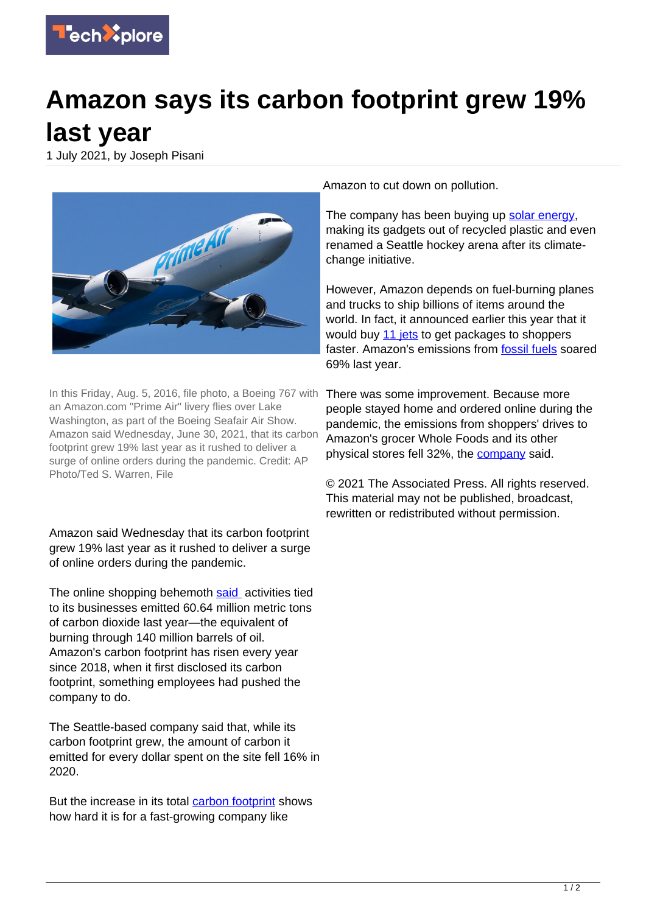

## **Amazon says its carbon footprint grew 19% last year**

1 July 2021, by Joseph Pisani



In this Friday, Aug. 5, 2016, file photo, a Boeing 767 with an Amazon.com "Prime Air" livery flies over Lake Washington, as part of the Boeing Seafair Air Show. Amazon said Wednesday, June 30, 2021, that its carbon footprint grew 19% last year as it rushed to deliver a surge of online orders during the pandemic. Credit: AP Photo/Ted S. Warren, File

Amazon said Wednesday that its carbon footprint grew 19% last year as it rushed to deliver a surge of online orders during the pandemic.

The online shopping behemoth [said](https://sustainability.aboutamazon.com/environment/sustainable-operations/carbon-footprint) activities tied to its businesses emitted 60.64 million metric tons of carbon dioxide last year—the equivalent of burning through 140 million barrels of oil. Amazon's carbon footprint has risen every year since 2018, when it first disclosed its carbon footprint, something employees had pushed the company to do.

The Seattle-based company said that, while its carbon footprint grew, the amount of carbon it emitted for every dollar spent on the site fell 16% in 2020.

But the increase in its total [carbon footprint](https://techxplore.com/tags/carbon+footprint/) shows how hard it is for a fast-growing company like

Amazon to cut down on pollution.

The company has been buying up [solar energy,](https://techxplore.com/tags/solar+energy/) making its gadgets out of recycled plastic and even renamed a Seattle hockey arena after its climatechange initiative.

However, Amazon depends on fuel-burning planes and trucks to ship billions of items around the world. In fact, it announced earlier this year that it would buy [11 jets](https://techxplore.com/news/2021-01-amazon-jets-1st-ship-faster.html) to get packages to shoppers faster. Amazon's emissions from **fossil fuels** soared 69% last year.

There was some improvement. Because more people stayed home and ordered online during the pandemic, the emissions from shoppers' drives to Amazon's grocer Whole Foods and its other physical stores fell 32%, the [company](https://techxplore.com/tags/company/) said.

© 2021 The Associated Press. All rights reserved. This material may not be published, broadcast, rewritten or redistributed without permission.